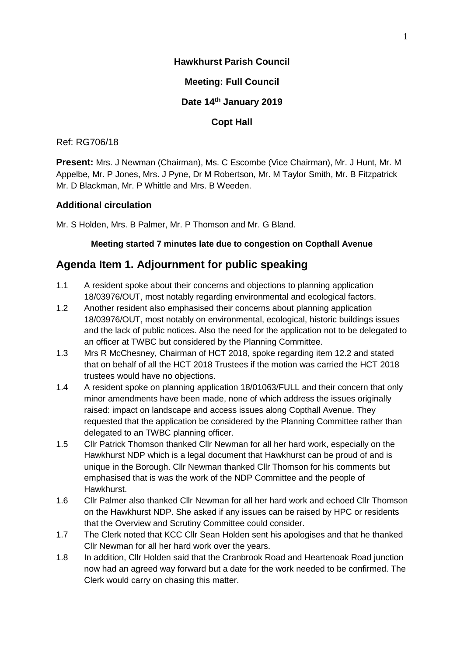## **Hawkhurst Parish Council**

## **Meeting: Full Council**

## **Date 14 th January 2019**

## **Copt Hall**

### Ref: RG706/18

**Present:** Mrs. J Newman (Chairman), Ms. C Escombe (Vice Chairman), Mr. J Hunt, Mr. M Appelbe, Mr. P Jones, Mrs. J Pyne, Dr M Robertson, Mr. M Taylor Smith, Mr. B Fitzpatrick Mr. D Blackman, Mr. P Whittle and Mrs. B Weeden.

## **Additional circulation**

Mr. S Holden, Mrs. B Palmer, Mr. P Thomson and Mr. G Bland.

## **Meeting started 7 minutes late due to congestion on Copthall Avenue**

## **Agenda Item 1. Adjournment for public speaking**

- 1.1 A resident spoke about their concerns and objections to planning application 18/03976/OUT, most notably regarding environmental and ecological factors.
- 1.2 Another resident also emphasised their concerns about planning application 18/03976/OUT, most notably on environmental, ecological, historic buildings issues and the lack of public notices. Also the need for the application not to be delegated to an officer at TWBC but considered by the Planning Committee.
- 1.3 Mrs R McChesney, Chairman of HCT 2018, spoke regarding item 12.2 and stated that on behalf of all the HCT 2018 Trustees if the motion was carried the HCT 2018 trustees would have no objections.
- 1.4 A resident spoke on planning application 18/01063/FULL and their concern that only minor amendments have been made, none of which address the issues originally raised: impact on landscape and access issues along Copthall Avenue. They requested that the application be considered by the Planning Committee rather than delegated to an TWBC planning officer.
- 1.5 Cllr Patrick Thomson thanked Cllr Newman for all her hard work, especially on the Hawkhurst NDP which is a legal document that Hawkhurst can be proud of and is unique in the Borough. Cllr Newman thanked Cllr Thomson for his comments but emphasised that is was the work of the NDP Committee and the people of Hawkhurst.
- 1.6 Cllr Palmer also thanked Cllr Newman for all her hard work and echoed Cllr Thomson on the Hawkhurst NDP. She asked if any issues can be raised by HPC or residents that the Overview and Scrutiny Committee could consider.
- 1.7 The Clerk noted that KCC Cllr Sean Holden sent his apologises and that he thanked Cllr Newman for all her hard work over the years.
- 1.8 In addition, Cllr Holden said that the Cranbrook Road and Heartenoak Road junction now had an agreed way forward but a date for the work needed to be confirmed. The Clerk would carry on chasing this matter.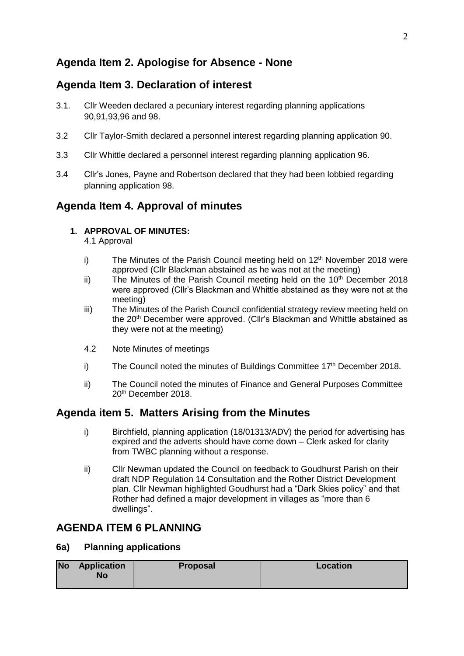# **Agenda Item 2. Apologise for Absence - None**

## **Agenda Item 3. Declaration of interest**

- 3.1. Cllr Weeden declared a pecuniary interest regarding planning applications 90,91,93,96 and 98.
- 3.2 Cllr Taylor-Smith declared a personnel interest regarding planning application 90.
- 3.3 Cllr Whittle declared a personnel interest regarding planning application 96.
- 3.4 Cllr's Jones, Payne and Robertson declared that they had been lobbied regarding planning application 98.

## **Agenda Item 4. Approval of minutes**

## **1. APPROVAL OF MINUTES:**

4.1 Approval

- i) The Minutes of the Parish Council meeting held on  $12<sup>th</sup>$  November 2018 were approved (Cllr Blackman abstained as he was not at the meeting)
- ii) The Minutes of the Parish Council meeting held on the  $10<sup>th</sup>$  December 2018 were approved (Cllr's Blackman and Whittle abstained as they were not at the meeting)
- iii) The Minutes of the Parish Council confidential strategy review meeting held on the 20<sup>th</sup> December were approved. (Cllr's Blackman and Whittle abstained as they were not at the meeting)
- 4.2 Note Minutes of meetings
- i) The Council noted the minutes of Buildings Committee  $17<sup>th</sup>$  December 2018.
- ii) The Council noted the minutes of Finance and General Purposes Committee 20<sup>th</sup> December 2018.

## **Agenda item 5. Matters Arising from the Minutes**

- i) Birchfield, planning application (18/01313/ADV) the period for advertising has expired and the adverts should have come down – Clerk asked for clarity from TWBC planning without a response.
- ii) Cllr Newman updated the Council on feedback to Goudhurst Parish on their draft NDP Regulation 14 Consultation and the Rother District Development plan. Cllr Newman highlighted Goudhurst had a "Dark Skies policy" and that Rother had defined a major development in villages as "more than 6 dwellings".

## **AGENDA ITEM 6 PLANNING**

## **6a) Planning applications**

| Nol | <b>Application</b><br>No | <b>Proposal</b> | Location |
|-----|--------------------------|-----------------|----------|
|     |                          |                 |          |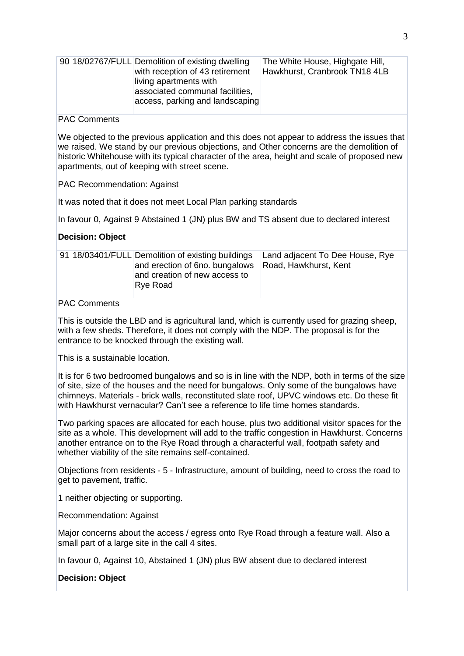| 90 18/02767/FULL Demolition of existing dwelling<br>with reception of 43 retirement<br>living apartments with<br>associated communal facilities,<br>access, parking and landscaping | The White House, Highgate Hill,<br>Hawkhurst, Cranbrook TN18 4LB |
|-------------------------------------------------------------------------------------------------------------------------------------------------------------------------------------|------------------------------------------------------------------|
|-------------------------------------------------------------------------------------------------------------------------------------------------------------------------------------|------------------------------------------------------------------|

#### PAC Comments

We objected to the previous application and this does not appear to address the issues that we raised. We stand by our previous objections, and Other concerns are the demolition of historic Whitehouse with its typical character of the area, height and scale of proposed new apartments, out of keeping with street scene.

PAC Recommendation: Against

It was noted that it does not meet Local Plan parking standards

In favour 0, Against 9 Abstained 1 (JN) plus BW and TS absent due to declared interest

### **Decision: Object**

|  |  | 91 18/03401/FULL Demolition of existing buildings<br>and erection of 6no. bungalows<br>and creation of new access to<br>Rye Road | Land adjacent To Dee House, Rye<br>Road, Hawkhurst, Kent |
|--|--|----------------------------------------------------------------------------------------------------------------------------------|----------------------------------------------------------|
|--|--|----------------------------------------------------------------------------------------------------------------------------------|----------------------------------------------------------|

## PAC Comments

This is outside the LBD and is agricultural land, which is currently used for grazing sheep, with a few sheds. Therefore, it does not comply with the NDP. The proposal is for the entrance to be knocked through the existing wall.

This is a sustainable location.

It is for 6 two bedroomed bungalows and so is in line with the NDP, both in terms of the size of site, size of the houses and the need for bungalows. Only some of the bungalows have chimneys. Materials - brick walls, reconstituted slate roof, UPVC windows etc. Do these fit with Hawkhurst vernacular? Can't see a reference to life time homes standards.

Two parking spaces are allocated for each house, plus two additional visitor spaces for the site as a whole. This development will add to the traffic congestion in Hawkhurst. Concerns another entrance on to the Rye Road through a characterful wall, footpath safety and whether viability of the site remains self-contained.

Objections from residents - 5 - Infrastructure, amount of building, need to cross the road to get to pavement, traffic.

1 neither objecting or supporting.

Recommendation: Against

Major concerns about the access / egress onto Rye Road through a feature wall. Also a small part of a large site in the call 4 sites.

In favour 0, Against 10, Abstained 1 (JN) plus BW absent due to declared interest

#### **Decision: Object**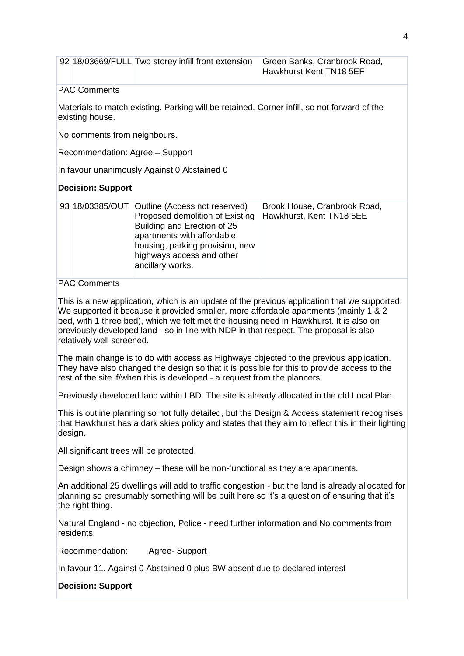|                                                                                                                                                                                                                                                                   | 92 18/03669/FULL Two storey infill front extension                                                                                                                                                                                                                                                                                                                                                    | Green Banks, Cranbrook Road,<br>Hawkhurst Kent TN18 5EF                                    |  |  |
|-------------------------------------------------------------------------------------------------------------------------------------------------------------------------------------------------------------------------------------------------------------------|-------------------------------------------------------------------------------------------------------------------------------------------------------------------------------------------------------------------------------------------------------------------------------------------------------------------------------------------------------------------------------------------------------|--------------------------------------------------------------------------------------------|--|--|
| <b>PAC Comments</b>                                                                                                                                                                                                                                               |                                                                                                                                                                                                                                                                                                                                                                                                       |                                                                                            |  |  |
| existing house.                                                                                                                                                                                                                                                   | Materials to match existing. Parking will be retained. Corner infill, so not forward of the                                                                                                                                                                                                                                                                                                           |                                                                                            |  |  |
| No comments from neighbours.                                                                                                                                                                                                                                      |                                                                                                                                                                                                                                                                                                                                                                                                       |                                                                                            |  |  |
|                                                                                                                                                                                                                                                                   | Recommendation: Agree - Support                                                                                                                                                                                                                                                                                                                                                                       |                                                                                            |  |  |
|                                                                                                                                                                                                                                                                   | In favour unanimously Against 0 Abstained 0                                                                                                                                                                                                                                                                                                                                                           |                                                                                            |  |  |
| <b>Decision: Support</b>                                                                                                                                                                                                                                          |                                                                                                                                                                                                                                                                                                                                                                                                       |                                                                                            |  |  |
| 93 18/03385/OUT                                                                                                                                                                                                                                                   | Outline (Access not reserved)<br>Proposed demolition of Existing<br>Building and Erection of 25<br>apartments with affordable<br>housing, parking provision, new<br>highways access and other<br>ancillary works.                                                                                                                                                                                     | Brook House, Cranbrook Road,<br>Hawkhurst, Kent TN18 5EE                                   |  |  |
| <b>PAC Comments</b>                                                                                                                                                                                                                                               |                                                                                                                                                                                                                                                                                                                                                                                                       |                                                                                            |  |  |
|                                                                                                                                                                                                                                                                   | This is a new application, which is an update of the previous application that we supported.<br>We supported it because it provided smaller, more affordable apartments (mainly 1 & 2<br>bed, with 1 three bed), which we felt met the housing need in Hawkhurst. It is also on<br>previously developed land - so in line with NDP in that respect. The proposal is also<br>relatively well screened. |                                                                                            |  |  |
| The main change is to do with access as Highways objected to the previous application.<br>They have also changed the design so that it is possible for this to provide access to the<br>rest of the site if/when this is developed - a request from the planners. |                                                                                                                                                                                                                                                                                                                                                                                                       |                                                                                            |  |  |
|                                                                                                                                                                                                                                                                   |                                                                                                                                                                                                                                                                                                                                                                                                       | Previously developed land within LBD. The site is already allocated in the old Local Plan. |  |  |
| This is outline planning so not fully detailed, but the Design & Access statement recognises<br>that Hawkhurst has a dark skies policy and states that they aim to reflect this in their lighting<br>design.                                                      |                                                                                                                                                                                                                                                                                                                                                                                                       |                                                                                            |  |  |
| All significant trees will be protected.                                                                                                                                                                                                                          |                                                                                                                                                                                                                                                                                                                                                                                                       |                                                                                            |  |  |
| Design shows a chimney – these will be non-functional as they are apartments.                                                                                                                                                                                     |                                                                                                                                                                                                                                                                                                                                                                                                       |                                                                                            |  |  |
| An additional 25 dwellings will add to traffic congestion - but the land is already allocated for<br>planning so presumably something will be built here so it's a question of ensuring that it's<br>the right thing.                                             |                                                                                                                                                                                                                                                                                                                                                                                                       |                                                                                            |  |  |
| Natural England - no objection, Police - need further information and No comments from<br>residents.                                                                                                                                                              |                                                                                                                                                                                                                                                                                                                                                                                                       |                                                                                            |  |  |
| Recommendation:<br>Agree-Support                                                                                                                                                                                                                                  |                                                                                                                                                                                                                                                                                                                                                                                                       |                                                                                            |  |  |
| In favour 11, Against 0 Abstained 0 plus BW absent due to declared interest                                                                                                                                                                                       |                                                                                                                                                                                                                                                                                                                                                                                                       |                                                                                            |  |  |
| <b>Decision: Support</b>                                                                                                                                                                                                                                          |                                                                                                                                                                                                                                                                                                                                                                                                       |                                                                                            |  |  |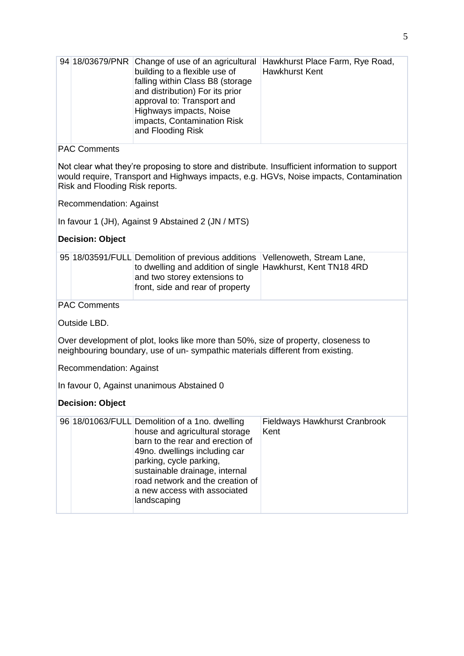| 94 18/03679/PNR                            | Change of use of an agricultural<br>building to a flexible use of<br>falling within Class B8 (storage<br>and distribution) For its prior<br>approval to: Transport and<br>Highways impacts, Noise<br>impacts, Contamination Risk<br>and Flooding Risk                                                 | Hawkhurst Place Farm, Rye Road,<br><b>Hawkhurst Kent</b>                                                                                                                                |  |  |  |
|--------------------------------------------|-------------------------------------------------------------------------------------------------------------------------------------------------------------------------------------------------------------------------------------------------------------------------------------------------------|-----------------------------------------------------------------------------------------------------------------------------------------------------------------------------------------|--|--|--|
| <b>PAC Comments</b>                        |                                                                                                                                                                                                                                                                                                       |                                                                                                                                                                                         |  |  |  |
| Risk and Flooding Risk reports.            |                                                                                                                                                                                                                                                                                                       | Not clear what they're proposing to store and distribute. Insufficient information to support<br>would require, Transport and Highways impacts, e.g. HGVs, Noise impacts, Contamination |  |  |  |
| <b>Recommendation: Against</b>             |                                                                                                                                                                                                                                                                                                       |                                                                                                                                                                                         |  |  |  |
|                                            | In favour 1 (JH), Against 9 Abstained 2 (JN / MTS)                                                                                                                                                                                                                                                    |                                                                                                                                                                                         |  |  |  |
| <b>Decision: Object</b>                    |                                                                                                                                                                                                                                                                                                       |                                                                                                                                                                                         |  |  |  |
|                                            | 95 18/03591/FULL Demolition of previous additions                                                                                                                                                                                                                                                     | Vellenoweth, Stream Lane,                                                                                                                                                               |  |  |  |
|                                            | to dwelling and addition of single Hawkhurst, Kent TN18 4RD<br>and two storey extensions to<br>front, side and rear of property                                                                                                                                                                       |                                                                                                                                                                                         |  |  |  |
| <b>PAC Comments</b>                        |                                                                                                                                                                                                                                                                                                       |                                                                                                                                                                                         |  |  |  |
| Outside LBD.                               |                                                                                                                                                                                                                                                                                                       |                                                                                                                                                                                         |  |  |  |
|                                            | Over development of plot, looks like more than 50%, size of property, closeness to<br>neighbouring boundary, use of un-sympathic materials different from existing.                                                                                                                                   |                                                                                                                                                                                         |  |  |  |
|                                            | Recommendation: Against                                                                                                                                                                                                                                                                               |                                                                                                                                                                                         |  |  |  |
| In favour 0, Against unanimous Abstained 0 |                                                                                                                                                                                                                                                                                                       |                                                                                                                                                                                         |  |  |  |
| <b>Decision: Object</b>                    |                                                                                                                                                                                                                                                                                                       |                                                                                                                                                                                         |  |  |  |
|                                            | 96 18/01063/FULL Demolition of a 1no. dwelling<br>house and agricultural storage<br>barn to the rear and erection of<br>49no. dwellings including car<br>parking, cycle parking,<br>sustainable drainage, internal<br>road network and the creation of<br>a new access with associated<br>landscaping | Fieldways Hawkhurst Cranbrook<br>Kent                                                                                                                                                   |  |  |  |
|                                            |                                                                                                                                                                                                                                                                                                       |                                                                                                                                                                                         |  |  |  |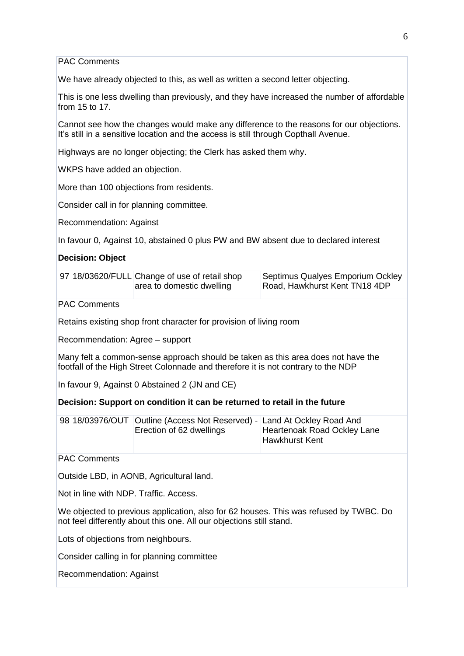PAC Comments

We have already objected to this, as well as written a second letter objecting.

This is one less dwelling than previously, and they have increased the number of affordable from 15 to 17.

Cannot see how the changes would make any difference to the reasons for our objections. It's still in a sensitive location and the access is still through Copthall Avenue.

Highways are no longer objecting; the Clerk has asked them why.

WKPS have added an objection.

More than 100 objections from residents.

Consider call in for planning committee.

Recommendation: Against

In favour 0, Against 10, abstained 0 plus PW and BW absent due to declared interest

#### **Decision: Object**

|  | 97 18/03620/FULL Change of use of retail shop<br>area to domestic dwelling | Septimus Qualyes Emporium Ockley<br>Road, Hawkhurst Kent TN18 4DP |
|--|----------------------------------------------------------------------------|-------------------------------------------------------------------|
|  |                                                                            |                                                                   |

PAC Comments

Retains existing shop front character for provision of living room

Recommendation: Agree – support

Many felt a common-sense approach should be taken as this area does not have the footfall of the High Street Colonnade and therefore it is not contrary to the NDP

In favour 9, Against 0 Abstained 2 (JN and CE)

#### **Decision: Support on condition it can be returned to retail in the future**

|  | 98 18/03976/OUT Outline (Access Not Reserved) - Land At Ockley Road And |                             |
|--|-------------------------------------------------------------------------|-----------------------------|
|  | Erection of 62 dwellings                                                | Heartenoak Road Ockley Lane |
|  |                                                                         | Hawkhurst Kent              |

PAC Comments

Outside LBD, in AONB, Agricultural land.

Not in line with NDP. Traffic. Access.

We objected to previous application, also for 62 houses. This was refused by TWBC. Do not feel differently about this one. All our objections still stand.

Lots of objections from neighbours.

Consider calling in for planning committee

Recommendation: Against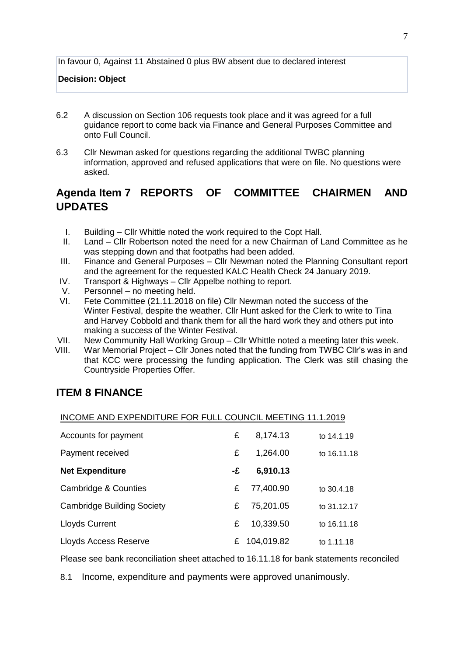In favour 0, Against 11 Abstained 0 plus BW absent due to declared interest

#### **Decision: Object**

- 6.2 A discussion on Section 106 requests took place and it was agreed for a full guidance report to come back via Finance and General Purposes Committee and onto Full Council.
- 6.3 Cllr Newman asked for questions regarding the additional TWBC planning information, approved and refused applications that were on file. No questions were asked.

# **Agenda Item 7 REPORTS OF COMMITTEE CHAIRMEN AND UPDATES**

- I. Building Cllr Whittle noted the work required to the Copt Hall.
- II. Land Cllr Robertson noted the need for a new Chairman of Land Committee as he was stepping down and that footpaths had been added.
- III. Finance and General Purposes Cllr Newman noted the Planning Consultant report and the agreement for the requested KALC Health Check 24 January 2019.
- IV. Transport & Highways Cllr Appelbe nothing to report.
- V. Personnel no meeting held.
- VI. Fete Committee (21.11.2018 on file) Cllr Newman noted the success of the Winter Festival, despite the weather. Cllr Hunt asked for the Clerk to write to Tina and Harvey Cobbold and thank them for all the hard work they and others put into making a success of the Winter Festival.
- VII. New Community Hall Working Group Cllr Whittle noted a meeting later this week.
- VIII. War Memorial Project Cllr Jones noted that the funding from TWBC Cllr's was in and that KCC were processing the funding application. The Clerk was still chasing the Countryside Properties Offer.

## **ITEM 8 FINANCE**

#### INCOME AND EXPENDITURE FOR FULL COUNCIL MEETING 11.1.2019

| Accounts for payment              | £  | 8,174.13     | to 14.1.19  |
|-----------------------------------|----|--------------|-------------|
| Payment received                  | £  | 1,264.00     | to 16.11.18 |
| <b>Net Expenditure</b>            | -£ | 6,910.13     |             |
| Cambridge & Counties              | £  | 77,400.90    | to 30.4.18  |
| <b>Cambridge Building Society</b> | £  | 75,201.05    | to 31.12.17 |
| <b>Lloyds Current</b>             | £  | 10,339.50    | to 16.11.18 |
| Lloyds Access Reserve             |    | £ 104,019.82 | to 1.11.18  |

Please see bank reconciliation sheet attached to 16.11.18 for bank statements reconciled

8.1 Income, expenditure and payments were approved unanimously.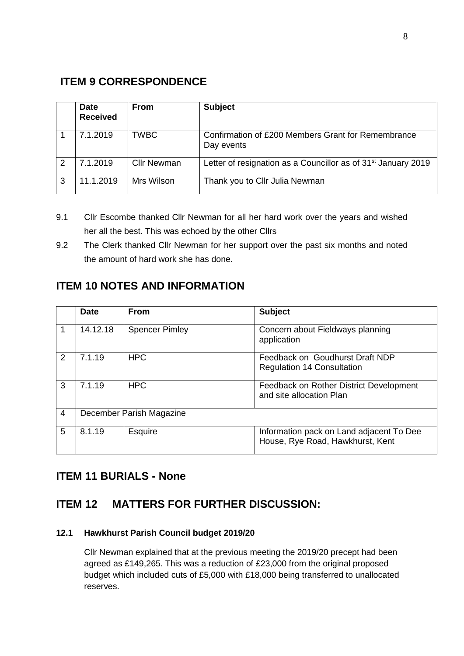# **ITEM 9 CORRESPONDENCE**

|   | <b>Date</b><br><b>Received</b> | <b>From</b>        | <b>Subject</b>                                                            |
|---|--------------------------------|--------------------|---------------------------------------------------------------------------|
|   | 7.1.2019                       | <b>TWBC</b>        | Confirmation of £200 Members Grant for Remembrance<br>Day events          |
| 2 | 7.1.2019                       | <b>Cllr Newman</b> | Letter of resignation as a Councillor as of 31 <sup>st</sup> January 2019 |
| 3 | 11.1.2019                      | Mrs Wilson         | Thank you to Cllr Julia Newman                                            |

- 9.1 Cllr Escombe thanked Cllr Newman for all her hard work over the years and wished her all the best. This was echoed by the other Cllrs
- 9.2 The Clerk thanked Cllr Newman for her support over the past six months and noted the amount of hard work she has done.

# **ITEM 10 NOTES AND INFORMATION**

|                | <b>Date</b> | <b>From</b>              | <b>Subject</b>                                                               |
|----------------|-------------|--------------------------|------------------------------------------------------------------------------|
|                | 14.12.18    | <b>Spencer Pimley</b>    | Concern about Fieldways planning<br>application                              |
| 2              | 7.1.19      | <b>HPC</b>               | Feedback on Goudhurst Draft NDP<br><b>Regulation 14 Consultation</b>         |
| 3              | 7.1.19      | <b>HPC</b>               | Feedback on Rother District Development<br>and site allocation Plan          |
| $\overline{4}$ |             | December Parish Magazine |                                                                              |
| 5              | 8.1.19      | Esquire                  | Information pack on Land adjacent To Dee<br>House, Rye Road, Hawkhurst, Kent |

## **ITEM 11 BURIALS - None**

## **ITEM 12 MATTERS FOR FURTHER DISCUSSION:**

## **12.1 Hawkhurst Parish Council budget 2019/20**

Cllr Newman explained that at the previous meeting the 2019/20 precept had been agreed as £149,265. This was a reduction of £23,000 from the original proposed budget which included cuts of £5,000 with £18,000 being transferred to unallocated reserves.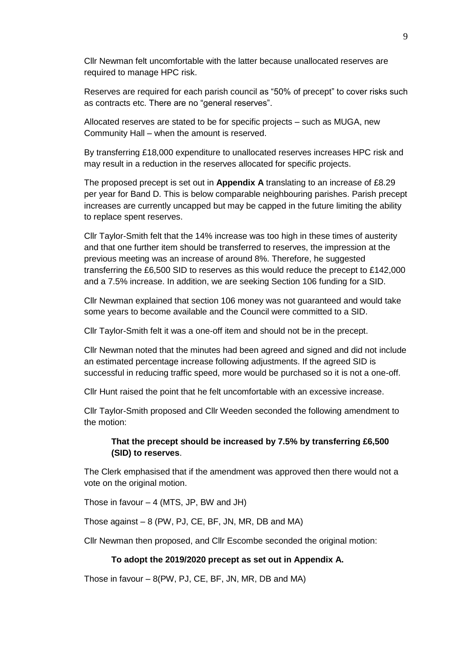Cllr Newman felt uncomfortable with the latter because unallocated reserves are required to manage HPC risk.

Reserves are required for each parish council as "50% of precept" to cover risks such as contracts etc. There are no "general reserves".

Allocated reserves are stated to be for specific projects – such as MUGA, new Community Hall – when the amount is reserved.

By transferring £18,000 expenditure to unallocated reserves increases HPC risk and may result in a reduction in the reserves allocated for specific projects.

The proposed precept is set out in **Appendix A** translating to an increase of £8.29 per year for Band D. This is below comparable neighbouring parishes. Parish precept increases are currently uncapped but may be capped in the future limiting the ability to replace spent reserves.

Cllr Taylor-Smith felt that the 14% increase was too high in these times of austerity and that one further item should be transferred to reserves, the impression at the previous meeting was an increase of around 8%. Therefore, he suggested transferring the £6,500 SID to reserves as this would reduce the precept to £142,000 and a 7.5% increase. In addition, we are seeking Section 106 funding for a SID.

Cllr Newman explained that section 106 money was not guaranteed and would take some years to become available and the Council were committed to a SID.

Cllr Taylor-Smith felt it was a one-off item and should not be in the precept.

Cllr Newman noted that the minutes had been agreed and signed and did not include an estimated percentage increase following adjustments. If the agreed SID is successful in reducing traffic speed, more would be purchased so it is not a one-off.

Cllr Hunt raised the point that he felt uncomfortable with an excessive increase.

Cllr Taylor-Smith proposed and Cllr Weeden seconded the following amendment to the motion:

#### **That the precept should be increased by 7.5% by transferring £6,500 (SID) to reserves**.

The Clerk emphasised that if the amendment was approved then there would not a vote on the original motion.

Those in favour – 4 (MTS, JP, BW and JH)

Those against – 8 (PW, PJ, CE, BF, JN, MR, DB and MA)

Cllr Newman then proposed, and Cllr Escombe seconded the original motion:

#### **To adopt the 2019/2020 precept as set out in Appendix A.**

Those in favour – 8(PW, PJ, CE, BF, JN, MR, DB and MA)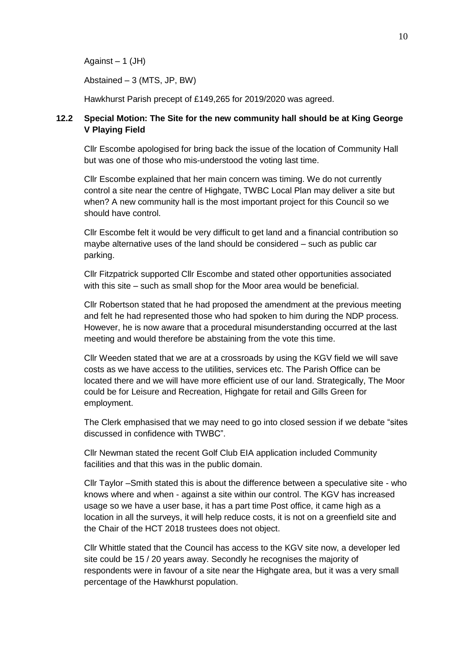Against  $-1$  (JH)

Abstained – 3 (MTS, JP, BW)

Hawkhurst Parish precept of £149,265 for 2019/2020 was agreed.

### **12.2 Special Motion: The Site for the new community hall should be at King George V Playing Field**

Cllr Escombe apologised for bring back the issue of the location of Community Hall but was one of those who mis-understood the voting last time.

Cllr Escombe explained that her main concern was timing. We do not currently control a site near the centre of Highgate, TWBC Local Plan may deliver a site but when? A new community hall is the most important project for this Council so we should have control.

Cllr Escombe felt it would be very difficult to get land and a financial contribution so maybe alternative uses of the land should be considered – such as public car parking.

Cllr Fitzpatrick supported Cllr Escombe and stated other opportunities associated with this site – such as small shop for the Moor area would be beneficial.

Cllr Robertson stated that he had proposed the amendment at the previous meeting and felt he had represented those who had spoken to him during the NDP process. However, he is now aware that a procedural misunderstanding occurred at the last meeting and would therefore be abstaining from the vote this time.

Cllr Weeden stated that we are at a crossroads by using the KGV field we will save costs as we have access to the utilities, services etc. The Parish Office can be located there and we will have more efficient use of our land. Strategically, The Moor could be for Leisure and Recreation, Highgate for retail and Gills Green for employment.

The Clerk emphasised that we may need to go into closed session if we debate "sites discussed in confidence with TWBC".

Cllr Newman stated the recent Golf Club EIA application included Community facilities and that this was in the public domain.

Cllr Taylor –Smith stated this is about the difference between a speculative site - who knows where and when - against a site within our control. The KGV has increased usage so we have a user base, it has a part time Post office, it came high as a location in all the surveys, it will help reduce costs, it is not on a greenfield site and the Chair of the HCT 2018 trustees does not object.

Cllr Whittle stated that the Council has access to the KGV site now, a developer led site could be 15 / 20 years away. Secondly he recognises the majority of respondents were in favour of a site near the Highgate area, but it was a very small percentage of the Hawkhurst population.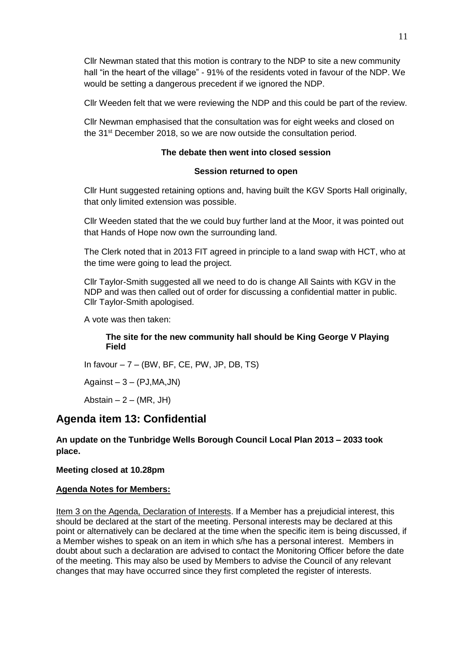Cllr Newman stated that this motion is contrary to the NDP to site a new community hall "in the heart of the village" - 91% of the residents voted in favour of the NDP. We would be setting a dangerous precedent if we ignored the NDP.

Cllr Weeden felt that we were reviewing the NDP and this could be part of the review.

Cllr Newman emphasised that the consultation was for eight weeks and closed on the 31st December 2018, so we are now outside the consultation period.

## **The debate then went into closed session**

#### **Session returned to open**

Cllr Hunt suggested retaining options and, having built the KGV Sports Hall originally, that only limited extension was possible.

Cllr Weeden stated that the we could buy further land at the Moor, it was pointed out that Hands of Hope now own the surrounding land.

The Clerk noted that in 2013 FIT agreed in principle to a land swap with HCT, who at the time were going to lead the project.

Cllr Taylor-Smith suggested all we need to do is change All Saints with KGV in the NDP and was then called out of order for discussing a confidential matter in public. Cllr Taylor-Smith apologised.

A vote was then taken:

### **The site for the new community hall should be King George V Playing Field**

In favour  $-7 - (BW, BF, CE, PW, JP, DB, TS)$ 

Against  $-3 - (PJ, MA, JN)$ 

Abstain  $-2 - (MR, JH)$ 

## **Agenda item 13: Confidential**

### **An update on the Tunbridge Wells Borough Council Local Plan 2013 – 2033 took place.**

#### **Meeting closed at 10.28pm**

#### **Agenda Notes for Members:**

Item 3 on the Agenda, Declaration of Interests. If a Member has a prejudicial interest, this should be declared at the start of the meeting. Personal interests may be declared at this point or alternatively can be declared at the time when the specific item is being discussed, if a Member wishes to speak on an item in which s/he has a personal interest. Members in doubt about such a declaration are advised to contact the Monitoring Officer before the date of the meeting. This may also be used by Members to advise the Council of any relevant changes that may have occurred since they first completed the register of interests.